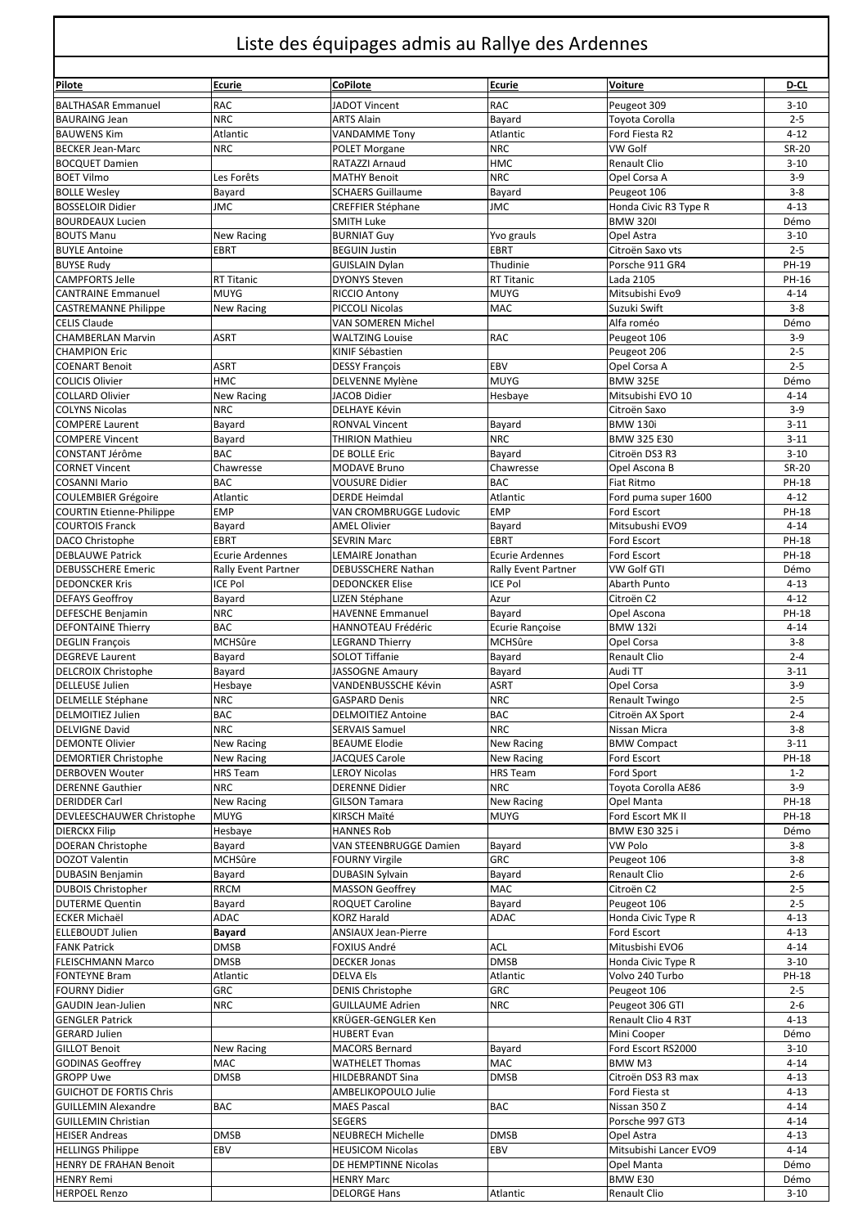## Liste des équipages admis au Rallye des Ardennes

| Pilote                                                   | Ecurie                           | CoPilote                                        | <b>Ecurie</b>              | Voiture                           | D-CL                  |  |  |
|----------------------------------------------------------|----------------------------------|-------------------------------------------------|----------------------------|-----------------------------------|-----------------------|--|--|
|                                                          |                                  |                                                 |                            |                                   |                       |  |  |
| <b>BALTHASAR Emmanuel</b><br><b>BAURAING Jean</b>        | <b>RAC</b><br><b>NRC</b>         | JADOT Vincent<br><b>ARTS Alain</b>              | RAC<br>Bayard              | Peugeot 309<br>Toyota Corolla     | $3 - 10$<br>$2 - 5$   |  |  |
| <b>BAUWENS Kim</b>                                       | Atlantic                         | <b>VANDAMME Tony</b>                            | Atlantic                   | Ford Fiesta R2                    | $4 - 12$              |  |  |
| <b>BECKER Jean-Marc</b>                                  | <b>NRC</b>                       | <b>POLET Morgane</b>                            | <b>NRC</b>                 | VW Golf                           | <b>SR-20</b>          |  |  |
| <b>BOCQUET Damien</b>                                    |                                  | RATAZZI Arnaud                                  | HMC                        | Renault Clio                      | $3 - 10$              |  |  |
| <b>BOET Vilmo</b>                                        | Les Forêts                       | <b>MATHY Benoit</b>                             | <b>NRC</b>                 | Opel Corsa A                      | $3-9$                 |  |  |
| <b>BOLLE Wesley</b>                                      | Bayard                           | <b>SCHAERS Guillaume</b>                        | Bayard                     | Peugeot 106                       | $3 - 8$               |  |  |
| <b>BOSSELOIR Didier</b>                                  | <b>JMC</b>                       | <b>CREFFIER Stéphane</b>                        | <b>JMC</b>                 | Honda Civic R3 Type R             | $4 - 13$              |  |  |
| <b>BOURDEAUX Lucien</b>                                  |                                  | <b>SMITH Luke</b>                               |                            | <b>BMW 320I</b>                   | Démo                  |  |  |
| <b>BOUTS Manu</b>                                        | <b>New Racing</b>                | <b>BURNIAT Guy</b>                              | Yvo grauls                 | Opel Astra                        | $3 - 10$              |  |  |
| <b>BUYLE Antoine</b>                                     | <b>EBRT</b>                      | <b>BEGUIN Justin</b>                            | EBRT                       | Citroën Saxo vts                  | $2 - 5$               |  |  |
| <b>BUYSE Rudy</b>                                        |                                  | <b>GUISLAIN Dylan</b>                           | Thudinie                   | Porsche 911 GR4                   | PH-19                 |  |  |
| <b>CAMPFORTS Jelle</b>                                   | <b>RT Titanic</b><br><b>MUYG</b> | <b>DYONYS Steven</b>                            | <b>RT Titanic</b>          | Lada 2105                         | PH-16                 |  |  |
| <b>CANTRAINE Emmanuel</b><br><b>CASTREMANNE Philippe</b> | New Racing                       | <b>RICCIO Antony</b><br>PICCOLI Nicolas         | <b>MUYG</b><br>MAC         | Mitsubishi Evo9<br>Suzuki Swift   | $4 - 14$<br>$3 - 8$   |  |  |
| <b>CELIS Claude</b>                                      |                                  | VAN SOMEREN Michel                              |                            | Alfa roméo                        | Démo                  |  |  |
| <b>CHAMBERLAN Marvin</b>                                 | <b>ASRT</b>                      | <b>WALTZING Louise</b>                          | RAC                        | Peugeot 106                       | $3 - 9$               |  |  |
| <b>CHAMPION Eric</b>                                     |                                  | KINIF Sébastien                                 |                            | Peugeot 206                       | $2 - 5$               |  |  |
| <b>COENART Benoit</b>                                    | ASRT                             | <b>DESSY François</b>                           | EBV                        | Opel Corsa A                      | $2 - 5$               |  |  |
| <b>COLICIS Olivier</b>                                   | <b>HMC</b>                       | DELVENNE Mylène                                 | <b>MUYG</b>                | <b>BMW 325E</b>                   | Démo                  |  |  |
| <b>COLLARD Olivier</b>                                   | <b>New Racing</b>                | <b>JACOB Didier</b>                             | Hesbaye                    | Mitsubishi EVO 10                 | $4 - 14$              |  |  |
| <b>COLYNS Nicolas</b>                                    | <b>NRC</b>                       | <b>DELHAYE Kévin</b>                            |                            | Citroën Saxo                      | $3-9$                 |  |  |
| <b>COMPERE Laurent</b>                                   | Bayard                           | <b>RONVAL Vincent</b>                           | Bayard                     | <b>BMW 130i</b>                   | $3 - 11$              |  |  |
| <b>COMPERE Vincent</b>                                   | Bayard                           | <b>THIRION Mathieu</b>                          | <b>NRC</b>                 | BMW 325 E30                       | $3 - 11$              |  |  |
| CONSTANT Jérôme                                          | <b>BAC</b>                       | <b>DE BOLLE Eric</b>                            | Bayard                     | Citroën DS3 R3                    | $3 - 10$              |  |  |
| <b>CORNET Vincent</b><br><b>COSANNI Mario</b>            | Chawresse<br><b>BAC</b>          | <b>MODAVE Bruno</b><br><b>VOUSURE Didier</b>    | Chawresse<br>BAC           | Opel Ascona B<br>Fiat Ritmo       | <b>SR-20</b><br>PH-18 |  |  |
| <b>COULEMBIER Grégoire</b>                               | Atlantic                         | <b>DERDE Heimdal</b>                            | Atlantic                   | Ford puma super 1600              | $4 - 12$              |  |  |
| <b>COURTIN Etienne-Philippe</b>                          | <b>EMP</b>                       | VAN CROMBRUGGE Ludovic                          | <b>EMP</b>                 | Ford Escort                       | PH-18                 |  |  |
| <b>COURTOIS Franck</b>                                   | Bayard                           | <b>AMEL Olivier</b>                             | Bayard                     | Mitsubushi EVO9                   | $4 - 14$              |  |  |
| DACO Christophe                                          | <b>EBRT</b>                      | <b>SEVRIN Marc</b>                              | EBRT                       | Ford Escort                       | PH-18                 |  |  |
| <b>DEBLAUWE Patrick</b>                                  | <b>Ecurie Ardennes</b>           | LEMAIRE Jonathan                                | <b>Ecurie Ardennes</b>     | Ford Escort                       | PH-18                 |  |  |
| <b>DEBUSSCHERE Emeric</b>                                | Rally Event Partner              | DEBUSSCHERE Nathan                              | <b>Rally Event Partner</b> | VW Golf GTI                       | Démo                  |  |  |
| <b>DEDONCKER Kris</b>                                    | <b>ICE Pol</b>                   | <b>DEDONCKER Elise</b>                          | <b>ICE Pol</b>             | Abarth Punto                      | $4 - 13$              |  |  |
| <b>DEFAYS Geoffroy</b>                                   | Bayard                           | LIZEN Stéphane                                  | Azur                       | Citroën C2                        | $4 - 12$              |  |  |
| <b>DEFESCHE Benjamin</b>                                 | <b>NRC</b>                       | <b>HAVENNE Emmanuel</b>                         | Bayard                     | Opel Ascona                       | PH-18                 |  |  |
| <b>DEFONTAINE Thierry</b>                                | <b>BAC</b>                       | <b>HANNOTEAU Frédéric</b>                       | Ecurie Rançoise            | <b>BMW 132i</b>                   | $4 - 14$              |  |  |
| <b>DEGLIN François</b>                                   | <b>MCHSûre</b>                   | <b>LEGRAND Thierry</b><br><b>SOLOT Tiffanie</b> | MCHSûre                    | Opel Corsa<br>Renault Clio        | $3 - 8$               |  |  |
| <b>DEGREVE Laurent</b><br><b>DELCROIX Christophe</b>     | Bayard<br>Bayard                 | JASSOGNE Amaury                                 | Bayard<br>Bayard           | Audi TT                           | $2 - 4$<br>$3 - 11$   |  |  |
| <b>DELLEUSE Julien</b>                                   | Hesbaye                          | VANDENBUSSCHE Kévin                             | <b>ASRT</b>                | Opel Corsa                        | $3 - 9$               |  |  |
| <b>DELMELLE Stéphane</b>                                 | <b>NRC</b>                       | <b>GASPARD Denis</b>                            | <b>NRC</b>                 | Renault Twingo                    | $2 - 5$               |  |  |
| <b>DELMOITIEZ Julien</b>                                 | BAC                              | <b>DELMOITIEZ Antoine</b>                       | BAC                        | Citroën AX Sport                  | $2 - 4$               |  |  |
| <b>DELVIGNE David</b>                                    | <b>NRC</b>                       | <b>SERVAIS Samuel</b>                           | <b>NRC</b>                 | Nissan Micra                      | $3 - 8$               |  |  |
| <b>DEMONTE Olivier</b>                                   | New Racing                       | <b>BEAUME Elodie</b>                            | New Racing                 | <b>BMW Compact</b>                | $3 - 11$              |  |  |
| <b>DEMORTIER Christophe</b>                              | New Racing                       | JACQUES Carole                                  | New Racing                 | Ford Escort                       | PH-18                 |  |  |
| <b>DERBOVEN Wouter</b>                                   | <b>HRS</b> Team                  | <b>LEROY Nicolas</b>                            | <b>HRS Team</b>            | Ford Sport                        | $1 - 2$               |  |  |
| <b>DERENNE Gauthier</b>                                  | <b>NRC</b>                       | <b>DERENNE Didier</b>                           | <b>NRC</b>                 | Toyota Corolla AE86               | $3 - 9$               |  |  |
| <b>DERIDDER Carl</b>                                     | <b>New Racing</b>                | <b>GILSON Tamara</b>                            | New Racing                 | Opel Manta                        | PH-18                 |  |  |
| DEVLEESCHAUWER Christophe                                | <b>MUYG</b>                      | KIRSCH Maïté                                    | <b>MUYG</b>                | Ford Escort MK II                 | PH-18                 |  |  |
| <b>DIERCKX Filip</b><br><b>DOERAN Christophe</b>         | Hesbaye                          | <b>HANNES Rob</b><br>VAN STEENBRUGGE Damien     |                            | BMW E30 325 i                     | Démo                  |  |  |
| <b>DOZOT Valentin</b>                                    | Bayard<br>MCHSûre                | <b>FOURNY Virgile</b>                           | Bayard<br>GRC              | VW Polo<br>Peugeot 106            | $3 - 8$<br>$3 - 8$    |  |  |
| <b>DUBASIN Benjamin</b>                                  | Bayard                           | <b>DUBASIN Sylvain</b>                          | Bayard                     | Renault Clio                      | $2 - 6$               |  |  |
| <b>DUBOIS Christopher</b>                                | <b>RRCM</b>                      | <b>MASSON Geoffrey</b>                          | MAC                        | Citroën C2                        | $2 - 5$               |  |  |
| <b>DUTERME Quentin</b>                                   | Bayard                           | ROQUET Caroline                                 | Bayard                     | Peugeot 106                       | $2 - 5$               |  |  |
| <b>ECKER Michaël</b>                                     | ADAC                             | <b>KORZ Harald</b>                              | ADAC                       | Honda Civic Type R                | $4 - 13$              |  |  |
| <b>ELLEBOUDT Julien</b>                                  | Bayard                           | <b>ANSIAUX Jean-Pierre</b>                      |                            | Ford Escort                       | $4 - 13$              |  |  |
| <b>FANK Patrick</b>                                      | <b>DMSB</b>                      | FOXIUS André                                    | ACL                        | Mitusbishi EVO6                   | $4 - 14$              |  |  |
| <b>FLEISCHMANN Marco</b>                                 | <b>DMSB</b>                      | <b>DECKER Jonas</b>                             | <b>DMSB</b>                | Honda Civic Type R                | $3 - 10$              |  |  |
| <b>FONTEYNE Bram</b>                                     | Atlantic                         | <b>DELVA Els</b>                                | Atlantic                   | Volvo 240 Turbo                   | PH-18                 |  |  |
| <b>FOURNY Didier</b>                                     | GRC                              | <b>DENIS Christophe</b>                         | GRC                        | Peugeot 106                       | $2 - 5$               |  |  |
| <b>GAUDIN Jean-Julien</b>                                | <b>NRC</b>                       | <b>GUILLAUME Adrien</b>                         | <b>NRC</b>                 | Peugeot 306 GTI                   | $2 - 6$               |  |  |
| <b>GENGLER Patrick</b>                                   |                                  | KRÜGER-GENGLER Ken                              |                            | Renault Clio 4 R3T                | $4 - 13$              |  |  |
| <b>GERARD Julien</b><br><b>GILLOT Benoit</b>             | <b>New Racing</b>                | <b>HUBERT Evan</b><br><b>MACORS Bernard</b>     | Bayard                     | Mini Cooper<br>Ford Escort RS2000 | Démo<br>$3 - 10$      |  |  |
| <b>GODINAS Geoffrey</b>                                  | MAC                              | <b>WATHELET Thomas</b>                          | MAC                        | BMW M3                            | $4 - 14$              |  |  |
| <b>GROPP Uwe</b>                                         | <b>DMSB</b>                      | <b>HILDEBRANDT Sina</b>                         | <b>DMSB</b>                | Citroën DS3 R3 max                | $4 - 13$              |  |  |
| <b>GUICHOT DE FORTIS Chris</b>                           |                                  | AMBELIKOPOULO Julie                             |                            | Ford Fiesta st                    | $4 - 13$              |  |  |
| <b>GUILLEMIN Alexandre</b>                               | <b>BAC</b>                       | <b>MAES Pascal</b>                              | BAC                        | Nissan 350 Z                      | $4 - 14$              |  |  |
| <b>GUILLEMIN Christian</b>                               |                                  | <b>SEGERS</b>                                   |                            | Porsche 997 GT3                   | $4 - 14$              |  |  |
| <b>HEISER Andreas</b>                                    | <b>DMSB</b>                      | <b>NEUBRECH Michelle</b>                        | <b>DMSB</b>                | Opel Astra                        | $4 - 13$              |  |  |
| <b>HELLINGS Philippe</b>                                 | EBV                              | <b>HEUSICOM Nicolas</b>                         | EBV                        | Mitsubishi Lancer EVO9            | $4 - 14$              |  |  |
| <b>HENRY DE FRAHAN Benoit</b>                            |                                  | DE HEMPTINNE Nicolas                            |                            | Opel Manta                        | Démo                  |  |  |
| <b>HENRY Remi</b>                                        |                                  | <b>HENRY Marc</b>                               |                            | BMW E30                           | Démo                  |  |  |
| <b>HERPOEL Renzo</b>                                     |                                  | <b>DELORGE Hans</b>                             | Atlantic                   | Renault Clio                      | $3 - 10$              |  |  |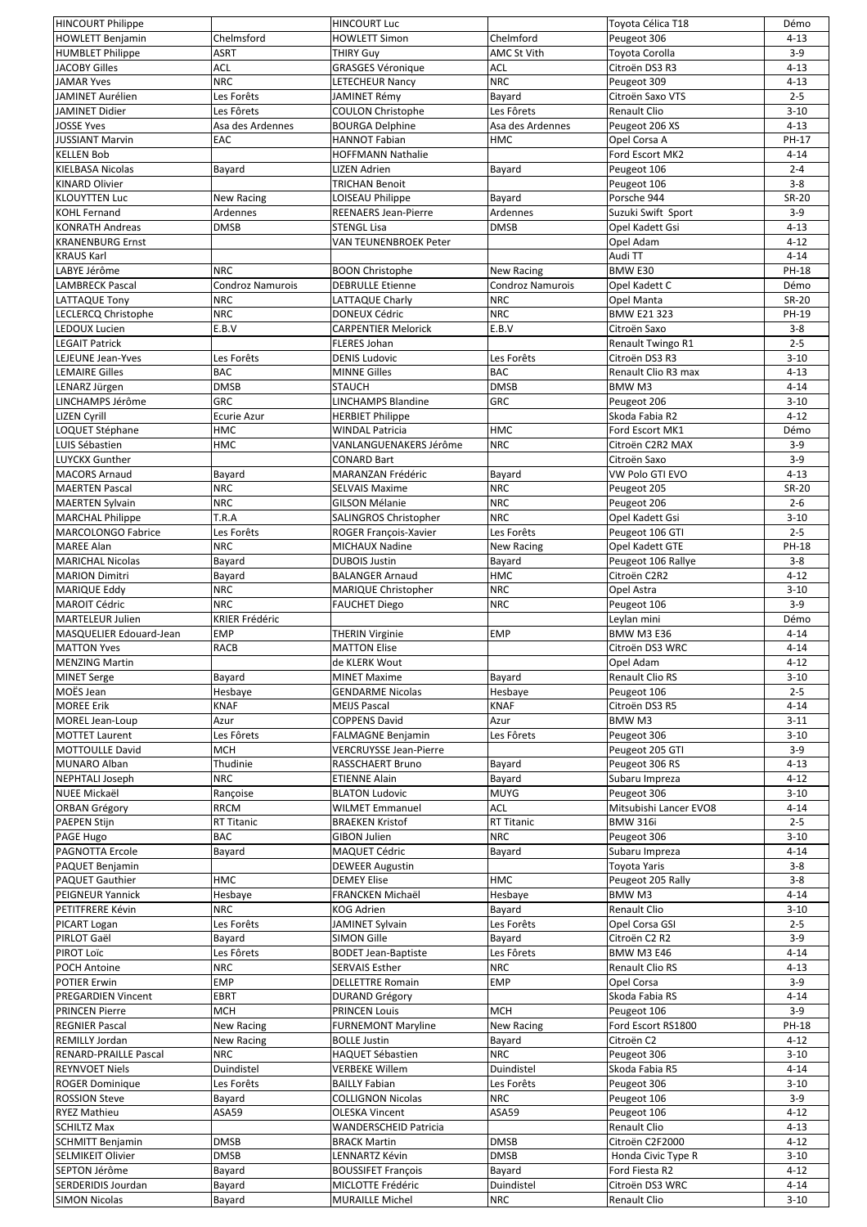| <b>HINCOURT Philippe</b>                            |                       | <b>HINCOURT Luc</b>                         |                    | Toyota Célica T18               | Démo                 |
|-----------------------------------------------------|-----------------------|---------------------------------------------|--------------------|---------------------------------|----------------------|
| <b>HOWLETT Benjamin</b>                             | Chelmsford            | <b>HOWLETT Simon</b>                        | Chelmford          | Peugeot 306                     | $4 - 13$             |
| <b>HUMBLET Philippe</b>                             | ASRT                  | <b>THIRY Guy</b>                            | <b>AMC St Vith</b> | Toyota Corolla                  | $3-9$                |
| <b>JACOBY Gilles</b>                                | <b>ACL</b>            | <b>GRASGES Véronique</b>                    | ACL                | Citroën DS3 R3                  | $4 - 13$             |
| <b>JAMAR Yves</b>                                   | <b>NRC</b>            | <b>LETECHEUR Nancy</b>                      | <b>NRC</b>         | Peugeot 309                     | $4 - 13$             |
| JAMINET Aurélien                                    | Les Forêts            | <b>JAMINET Rémy</b>                         | Bayard             | Citroën Saxo VTS                | $2 - 5$              |
| JAMINET Didier                                      | Les Fôrets            | <b>COULON Christophe</b>                    | Les Fôrets         | <b>Renault Clio</b>             | $3 - 10$             |
| <b>JOSSE Yves</b>                                   | Asa des Ardennes      | <b>BOURGA Delphine</b>                      | Asa des Ardennes   | Peugeot 206 XS                  | $4 - 13$             |
| <b>JUSSIANT Marvin</b>                              | EAC                   | <b>HANNOT Fabian</b>                        | нмс                | Opel Corsa A                    | PH-17                |
| <b>KELLEN Bob</b>                                   |                       | <b>HOFFMANN Nathalie</b>                    |                    | Ford Escort MK2                 | $4 - 14$             |
| <b>KIELBASA Nicolas</b>                             | Bayard                | <b>LIZEN Adrien</b>                         | Bayard             | Peugeot 106                     | $2 - 4$              |
| <b>KINARD Olivier</b>                               |                       | <b>TRICHAN Benoit</b>                       |                    | Peugeot 106                     | $3 - 8$              |
| <b>KLOUYTTEN Luc</b>                                | New Racing            | LOISEAU Philippe                            | Bayard             | Porsche 944                     | <b>SR-20</b>         |
| <b>KOHL Fernand</b>                                 | Ardennes              | <b>REENAERS Jean-Pierre</b>                 | Ardennes           | Suzuki Swift Sport              | $3-9$                |
| <b>KONRATH Andreas</b>                              | DMSB                  | <b>STENGL Lisa</b>                          | <b>DMSB</b>        | Opel Kadett Gsi                 | $4 - 13$             |
| <b>KRANENBURG Ernst</b>                             |                       | VAN TEUNENBROEK Peter                       |                    | Opel Adam                       | $4 - 12$             |
| <b>KRAUS Karl</b>                                   |                       |                                             |                    | Audi TT                         | $4 - 14$             |
| LABYE Jérôme                                        | <b>NRC</b>            | <b>BOON Christophe</b>                      | <b>New Racing</b>  | BMW E30                         | PH-18                |
| <b>LAMBRECK Pascal</b>                              | Condroz Namurois      | <b>DEBRULLE Etienne</b>                     | Condroz Namurois   | Opel Kadett C                   | Démo                 |
| <b>LATTAQUE Tony</b>                                | <b>NRC</b>            | LATTAQUE Charly                             | <b>NRC</b>         | Opel Manta                      | <b>SR-20</b>         |
| LECLERCQ Christophe                                 | <b>NRC</b>            | <b>DONEUX Cédric</b>                        | <b>NRC</b>         | <b>BMW E21 323</b>              | PH-19                |
| LEDOUX Lucien                                       | E.B.V                 | <b>CARPENTIER Melorick</b>                  | E.B.V              | Citroën Saxo                    | $3 - 8$              |
| <b>LEGAIT Patrick</b>                               |                       | <b>FLERES Johan</b>                         |                    | Renault Twingo R1               | $2 - 5$              |
| LEJEUNE Jean-Yves                                   | Les Forêts            | <b>DENIS Ludovic</b>                        | Les Forêts         | Citroën DS3 R3                  | $3 - 10$             |
|                                                     |                       |                                             | BAC                |                                 |                      |
| <b>LEMAIRE Gilles</b>                               | BAC<br><b>DMSB</b>    | <b>MINNE Gilles</b><br><b>STAUCH</b>        | <b>DMSB</b>        | Renault Clio R3 max<br>BMW M3   | $4 - 13$<br>$4 - 14$ |
| LENARZ Jürgen<br>LINCHAMPS Jérôme                   | GRC                   | <b>LINCHAMPS Blandine</b>                   | GRC                | Peugeot 206                     | $3 - 10$             |
|                                                     | Ecurie Azur           |                                             |                    | Skoda Fabia R2                  | $4 - 12$             |
| <b>LIZEN Cyrill</b>                                 |                       | <b>HERBIET Philippe</b>                     |                    |                                 |                      |
| LOQUET Stéphane                                     | HMC                   | <b>WINDAL Patricia</b>                      | HMC                | Ford Escort MK1                 | Démo                 |
| LUIS Sébastien                                      | нмс                   | VANLANGUENAKERS Jérôme                      | <b>NRC</b>         | Citroën C2R2 MAX                | $3 - 9$              |
| LUYCKX Gunther                                      |                       | <b>CONARD Bart</b>                          |                    | Citroën Saxo                    | $3-9$                |
| <b>MACORS Arnaud</b>                                | Bayard                | MARANZAN Frédéric                           | Bayard             | VW Polo GTI EVO                 | $4 - 13$             |
| <b>MAERTEN Pascal</b>                               | <b>NRC</b>            | <b>SELVAIS Maxime</b>                       | <b>NRC</b>         | Peugeot 205                     | <b>SR-20</b>         |
| <b>MAERTEN Sylvain</b>                              | <b>NRC</b>            | <b>GILSON Mélanie</b>                       | <b>NRC</b>         | Peugeot 206                     | $2 - 6$              |
| <b>MARCHAL Philippe</b>                             | T.R.A                 | SALINGROS Christopher                       | <b>NRC</b>         | Opel Kadett Gsi                 | $3 - 10$             |
| <b>MARCOLONGO Fabrice</b>                           | Les Forêts            | ROGER François-Xavier                       | Les Forêts         | Peugeot 106 GTI                 | $2 - 5$              |
| <b>MAREE Alan</b>                                   | NRC                   | MICHAUX Nadine                              | <b>New Racing</b>  | Opel Kadett GTE                 | PH-18                |
| <b>MARICHAL Nicolas</b>                             | Bayard                | <b>DUBOIS Justin</b>                        | Bayard             | Peugeot 106 Rallye              | $3 - 8$              |
| <b>MARION Dimitri</b>                               | Bayard                | <b>BALANGER Arnaud</b>                      | HMC                | Citroën C2R2                    | $4 - 12$             |
| <b>MARIQUE Eddy</b>                                 | <b>NRC</b>            | MARIQUE Christopher                         | <b>NRC</b>         | Opel Astra                      | $3 - 10$             |
| <b>MAROIT Cédric</b>                                | <b>NRC</b>            | <b>FAUCHET Diego</b>                        | <b>NRC</b>         | Peugeot 106                     | $3 - 9$              |
| <b>MARTELEUR Julien</b>                             | <b>KRIER Frédéric</b> |                                             |                    | Leylan mini                     | Démo                 |
| MASQUELIER Edouard-Jean                             | EMP                   | <b>THERIN Virginie</b>                      | <b>EMP</b>         | <b>BMW M3 E36</b>               | $4 - 14$             |
| <b>MATTON Yves</b>                                  | RACB                  | <b>MATTON Elise</b>                         |                    | Citroën DS3 WRC                 | $4 - 14$             |
| <b>MENZING Martin</b>                               |                       | de KLERK Wout                               |                    | Opel Adam                       | $4 - 12$             |
| <b>MINET Serge</b>                                  | Bayard                | <b>MINET Maxime</b>                         | Bayard             | Renault Clio RS                 | $3 - 10$             |
| MOËS Jean                                           | Hesbaye               | <b>GENDARME Nicolas</b>                     | Hesbaye            | Peugeot 106                     | $2 - 5$              |
| <b>MOREE Erik</b>                                   | <b>KNAF</b>           | <b>MEIJS Pascal</b>                         | <b>KNAF</b>        | Citroën DS3 R5                  | $4 - 14$             |
| <b>MOREL Jean-Loup</b>                              | Azur                  | <b>COPPENS David</b>                        | Azur               | BMW M3                          | $3 - 11$             |
| <b>MOTTET Laurent</b>                               | Les Fôrets            | <b>FALMAGNE Benjamin</b>                    | Les Fôrets         | Peugeot 306                     | $3 - 10$             |
| <b>MOTTOULLE David</b>                              | MCH                   | <b>VERCRUYSSE Jean-Pierre</b>               |                    | Peugeot 205 GTI                 | $3-9$                |
| <b>MUNARO Alban</b>                                 | Thudinie              | <b>RASSCHAERT Bruno</b>                     | Bayard             | Peugeot 306 RS                  | $4 - 13$             |
| <b>NEPHTALI Joseph</b>                              | <b>NRC</b>            | <b>ETIENNE Alain</b>                        | Bayard             | Subaru Impreza                  | $4 - 12$             |
| NUEE Mickaël                                        | Rançoise              | <b>BLATON Ludovic</b>                       | <b>MUYG</b>        | Peugeot 306                     | $3 - 10$             |
| <b>ORBAN Grégory</b>                                | <b>RRCM</b>           | <b>WILMET Emmanuel</b>                      | <b>ACL</b>         | Mitsubishi Lancer EVO8          | $4 - 14$             |
| <b>PAEPEN Stijn</b>                                 | RT Titanic            | <b>BRAEKEN Kristof</b>                      | RT Titanic         | <b>BMW 316i</b>                 | $2 - 5$              |
| PAGE Hugo                                           | BAC                   | <b>GIBON Julien</b>                         | <b>NRC</b>         | Peugeot 306                     | $3 - 10$             |
| PAGNOTTA Ercole                                     | Bayard                | MAQUET Cédric                               | Bayard             | Subaru Impreza                  | $4 - 14$             |
| PAQUET Benjamin                                     |                       | <b>DEWEER Augustin</b>                      |                    | Toyota Yaris                    | $3 - 8$              |
| PAQUET Gauthier                                     | HMC                   | <b>DEMEY Elise</b>                          | HMC                | Peugeot 205 Rally               | $3 - 8$              |
| <b>PEIGNEUR Yannick</b>                             | Hesbaye               | FRANCKEN Michaël                            | Hesbaye            | BMW M3                          | $4 - 14$             |
| PETITFRERE Kévin                                    | NRC                   | <b>KOG Adrien</b>                           | Bayard             | Renault Clio                    | $3 - 10$             |
| PICART Logan                                        | Les Forêts            | JAMINET Sylvain                             | Les Forêts         | Opel Corsa GSI                  | $2 - 5$              |
| PIRLOT Gaël                                         | Bayard                | <b>SIMON Gille</b>                          | Bayard             | Citroën C2 R2                   | $3-9$                |
| PIROT Loïc                                          | Les Fôrets            | <b>BODET Jean-Baptiste</b>                  | Les Fôrets         | <b>BMW M3 E46</b>               | $4 - 14$             |
| POCH Antoine                                        | <b>NRC</b>            | <b>SERVAIS Esther</b>                       | <b>NRC</b>         | Renault Clio RS                 | $4 - 13$             |
| POTIER Erwin                                        | <b>EMP</b>            | <b>DELLETTRE Romain</b>                     | <b>EMP</b>         | Opel Corsa                      | $3-9$                |
| <b>PREGARDIEN Vincent</b>                           | EBRT                  | <b>DURAND Grégory</b>                       |                    | Skoda Fabia RS                  | $4 - 14$             |
| <b>PRINCEN Pierre</b>                               | MCH                   | <b>PRINCEN Louis</b>                        | <b>MCH</b>         | Peugeot 106                     | $3-9$                |
| <b>REGNIER Pascal</b>                               | <b>New Racing</b>     | <b>FURNEMONT Maryline</b>                   | New Racing         | Ford Escort RS1800              | PH-18                |
| <b>REMILLY Jordan</b>                               | New Racing            | <b>BOLLE Justin</b>                         | Bayard             | Citroën C2                      | $4 - 12$             |
| RENARD-PRAILLE Pascal                               | <b>NRC</b>            | HAQUET Sébastien                            | <b>NRC</b>         | Peugeot 306                     | $3 - 10$             |
| <b>REYNVOET Niels</b>                               | Duindistel            | <b>VERBEKE Willem</b>                       | Duindistel         | Skoda Fabia R5                  | $4 - 14$             |
| <b>ROGER Dominique</b>                              | Les Forêts            | <b>BAILLY Fabian</b>                        | Les Forêts         | Peugeot 306                     | $3 - 10$             |
| <b>ROSSION Steve</b>                                | Bayard                | <b>COLLIGNON Nicolas</b>                    | <b>NRC</b>         | Peugeot 106                     | $3-9$                |
| RYEZ Mathieu                                        | ASA59                 | <b>OLESKA Vincent</b>                       | ASA59              | Peugeot 106                     | $4 - 12$             |
| <b>SCHILTZ Max</b>                                  |                       | <b>WANDERSCHEID Patricia</b>                |                    | Renault Clio                    | $4 - 13$             |
|                                                     | DMSB                  |                                             | <b>DMSB</b>        | Citroën C2F2000                 | $4 - 12$             |
| <b>SCHMITT Benjamin</b><br><b>SELMIKEIT Olivier</b> |                       | <b>BRACK Martin</b><br>LENNARTZ Kévin       | <b>DMSB</b>        |                                 |                      |
|                                                     | DMSB                  |                                             |                    | Honda Civic Type R              | $3 - 10$             |
| SEPTON Jérôme                                       | Bayard                | <b>BOUSSIFET François</b>                   | Bayard             | Ford Fiesta R2                  | $4 - 12$             |
| SERDERIDIS Jourdan<br><b>SIMON Nicolas</b>          | Bayard                | MICLOTTE Frédéric<br><b>MURAILLE Michel</b> | Duindistel         | Citroën DS3 WRC<br>Renault Clio | $4 - 14$             |
|                                                     | Bayard                |                                             | NRC                |                                 | $3 - 10$             |